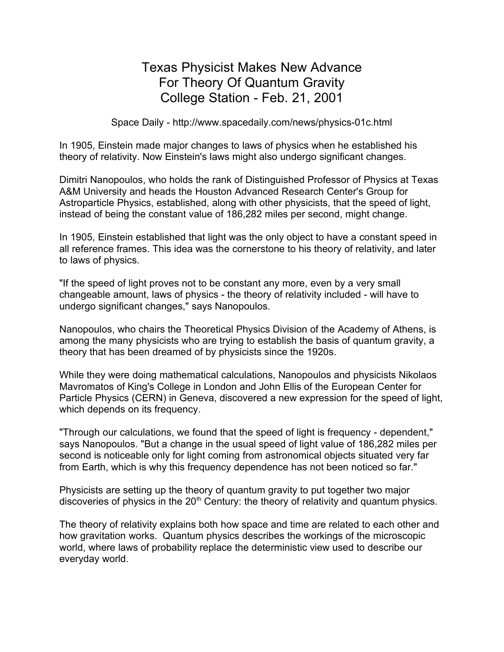## Texas Physicist Makes New Advance For Theory Of Quantum Gravity College Station - Feb. 21, 2001

Space Daily - http://www.spacedaily.com/news/physics-01c.html

In 1905, Einstein made major changes to laws of physics when he established his theory of relativity. Now Einstein's laws might also undergo significant changes.

Dimitri Nanopoulos, who holds the rank of Distinguished Professor of Physics at Texas A&M University and heads the Houston Advanced Research Center's Group for Astroparticle Physics, established, along with other physicists, that the speed of light, instead of being the constant value of 186,282 miles per second, might change.

In 1905, Einstein established that light was the only object to have a constant speed in all reference frames. This idea was the cornerstone to his theory of relativity, and later to laws of physics.

"If the speed of light proves not to be constant any more, even by a very small changeable amount, laws of physics - the theory of relativity included - will have to undergo significant changes," says Nanopoulos.

Nanopoulos, who chairs the Theoretical Physics Division of the Academy of Athens, is among the many physicists who are trying to establish the basis of quantum gravity, a theory that has been dreamed of by physicists since the 1920s.

While they were doing mathematical calculations, Nanopoulos and physicists Nikolaos Mavromatos of King's College in London and John Ellis of the European Center for Particle Physics (CERN) in Geneva, discovered a new expression for the speed of light, which depends on its frequency.

"Through our calculations, we found that the speed of light is frequency - dependent," says Nanopoulos. "But a change in the usual speed of light value of 186,282 miles per second is noticeable only for light coming from astronomical objects situated very far from Earth, which is why this frequency dependence has not been noticed so far."

Physicists are setting up the theory of quantum gravity to put together two major discoveries of physics in the  $20<sup>th</sup>$  Century: the theory of relativity and quantum physics.

The theory of relativity explains both how space and time are related to each other and how gravitation works. Quantum physics describes the workings of the microscopic world, where laws of probability replace the deterministic view used to describe our everyday world.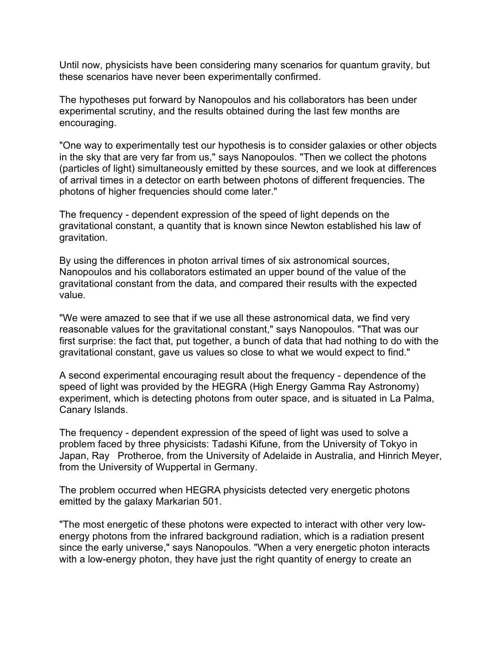Until now, physicists have been considering many scenarios for quantum gravity, but these scenarios have never been experimentally confirmed.

The hypotheses put forward by Nanopoulos and his collaborators has been under experimental scrutiny, and the results obtained during the last few months are encouraging.

"One way to experimentally test our hypothesis is to consider galaxies or other objects in the sky that are very far from us," says Nanopoulos. "Then we collect the photons (particles of light) simultaneously emitted by these sources, and we look at differences of arrival times in a detector on earth between photons of different frequencies. The photons of higher frequencies should come later."

The frequency - dependent expression of the speed of light depends on the gravitational constant, a quantity that is known since Newton established his law of gravitation.

By using the differences in photon arrival times of six astronomical sources, Nanopoulos and his collaborators estimated an upper bound of the value of the gravitational constant from the data, and compared their results with the expected value.

"We were amazed to see that if we use all these astronomical data, we find very reasonable values for the gravitational constant," says Nanopoulos. "That was our first surprise: the fact that, put together, a bunch of data that had nothing to do with the gravitational constant, gave us values so close to what we would expect to find."

A second experimental encouraging result about the frequency - dependence of the speed of light was provided by the HEGRA (High Energy Gamma Ray Astronomy) experiment, which is detecting photons from outer space, and is situated in La Palma, Canary Islands.

The frequency - dependent expression of the speed of light was used to solve a problem faced by three physicists: Tadashi Kifune, from the University of Tokyo in Japan, Ray Protheroe, from the University of Adelaide in Australia, and Hinrich Meyer, from the University of Wuppertal in Germany.

The problem occurred when HEGRA physicists detected very energetic photons emitted by the galaxy Markarian 501.

"The most energetic of these photons were expected to interact with other very lowenergy photons from the infrared background radiation, which is a radiation present since the early universe," says Nanopoulos. "When a very energetic photon interacts with a low-energy photon, they have just the right quantity of energy to create an